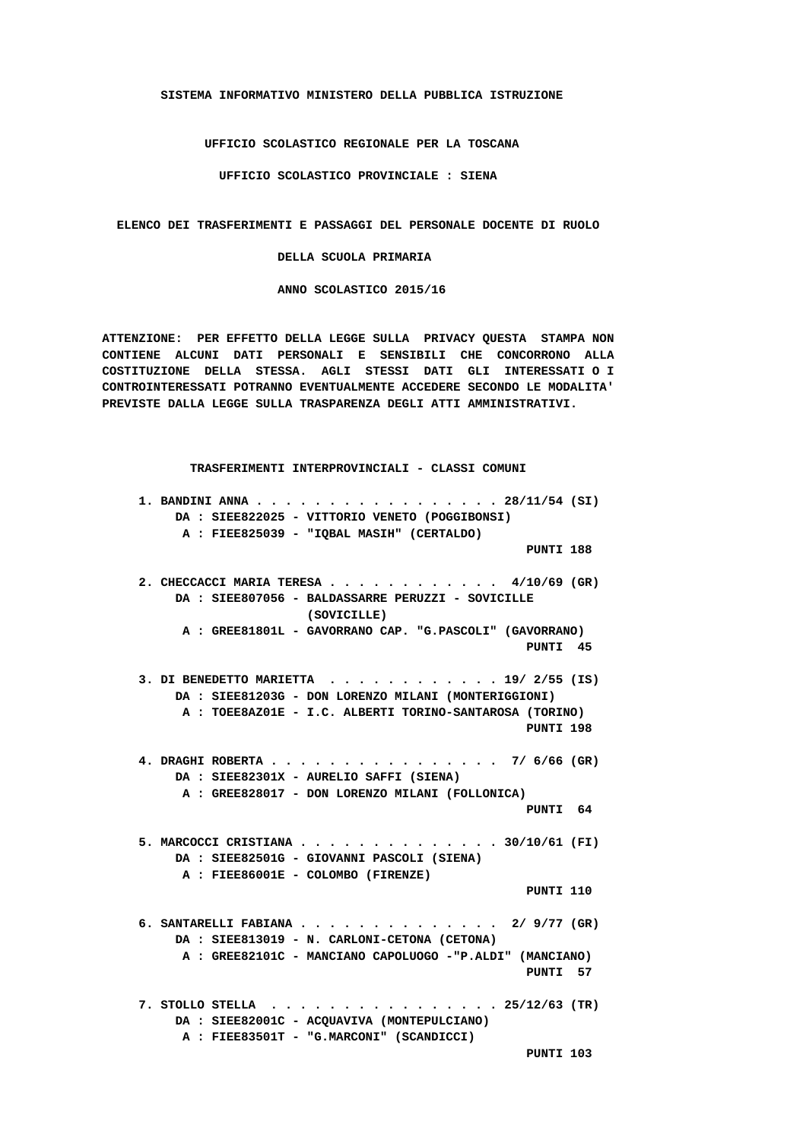**SISTEMA INFORMATIVO MINISTERO DELLA PUBBLICA ISTRUZIONE**

 **UFFICIO SCOLASTICO REGIONALE PER LA TOSCANA**

 **UFFICIO SCOLASTICO PROVINCIALE : SIENA**

 **ELENCO DEI TRASFERIMENTI E PASSAGGI DEL PERSONALE DOCENTE DI RUOLO**

 **DELLA SCUOLA PRIMARIA**

 **ANNO SCOLASTICO 2015/16**

 **ATTENZIONE: PER EFFETTO DELLA LEGGE SULLA PRIVACY QUESTA STAMPA NON CONTIENE ALCUNI DATI PERSONALI E SENSIBILI CHE CONCORRONO ALLA COSTITUZIONE DELLA STESSA. AGLI STESSI DATI GLI INTERESSATI O I CONTROINTERESSATI POTRANNO EVENTUALMENTE ACCEDERE SECONDO LE MODALITA' PREVISTE DALLA LEGGE SULLA TRASPARENZA DEGLI ATTI AMMINISTRATIVI.**

 **TRASFERIMENTI INTERPROVINCIALI - CLASSI COMUNI 1. BANDINI ANNA . . . . . . . . . . . . . . . . . 28/11/54 (SI) DA : SIEE822025 - VITTORIO VENETO (POGGIBONSI) A : FIEE825039 - "IQBAL MASIH" (CERTALDO) PUNTI 188 2. CHECCACCI MARIA TERESA . . . . . . . . . . . . 4/10/69 (GR) DA : SIEE807056 - BALDASSARRE PERUZZI - SOVICILLE (SOVICILLE) A : GREE81801L - GAVORRANO CAP. "G.PASCOLI" (GAVORRANO) PUNTI 45 3. DI BENEDETTO MARIETTA . . . . . . . . . . . . 19/ 2/55 (IS) DA : SIEE81203G - DON LORENZO MILANI (MONTERIGGIONI) A : TOEE8AZ01E - I.C. ALBERTI TORINO-SANTAROSA (TORINO) PUNTI 198 4. DRAGHI ROBERTA . . . . . . . . . . . . . . . . 7/ 6/66 (GR) DA : SIEE82301X - AURELIO SAFFI (SIENA) A : GREE828017 - DON LORENZO MILANI (FOLLONICA) PUNTI 64 5. MARCOCCI CRISTIANA . . . . . . . . . . . . . . 30/10/61 (FI) DA : SIEE82501G - GIOVANNI PASCOLI (SIENA) A : FIEE86001E - COLOMBO (FIRENZE) PUNTI 110 6. SANTARELLI FABIANA . . . . . . . . . . . . . . 2/ 9/77 (GR) DA : SIEE813019 - N. CARLONI-CETONA (CETONA) A : GREE82101C - MANCIANO CAPOLUOGO -"P.ALDI" (MANCIANO) PUNTI 57 7. STOLLO STELLA . . . . . . . . . . . . . . . . 25/12/63 (TR) DA : SIEE82001C - ACQUAVIVA (MONTEPULCIANO) A : FIEE83501T - "G.MARCONI" (SCANDICCI) PUNTI 103**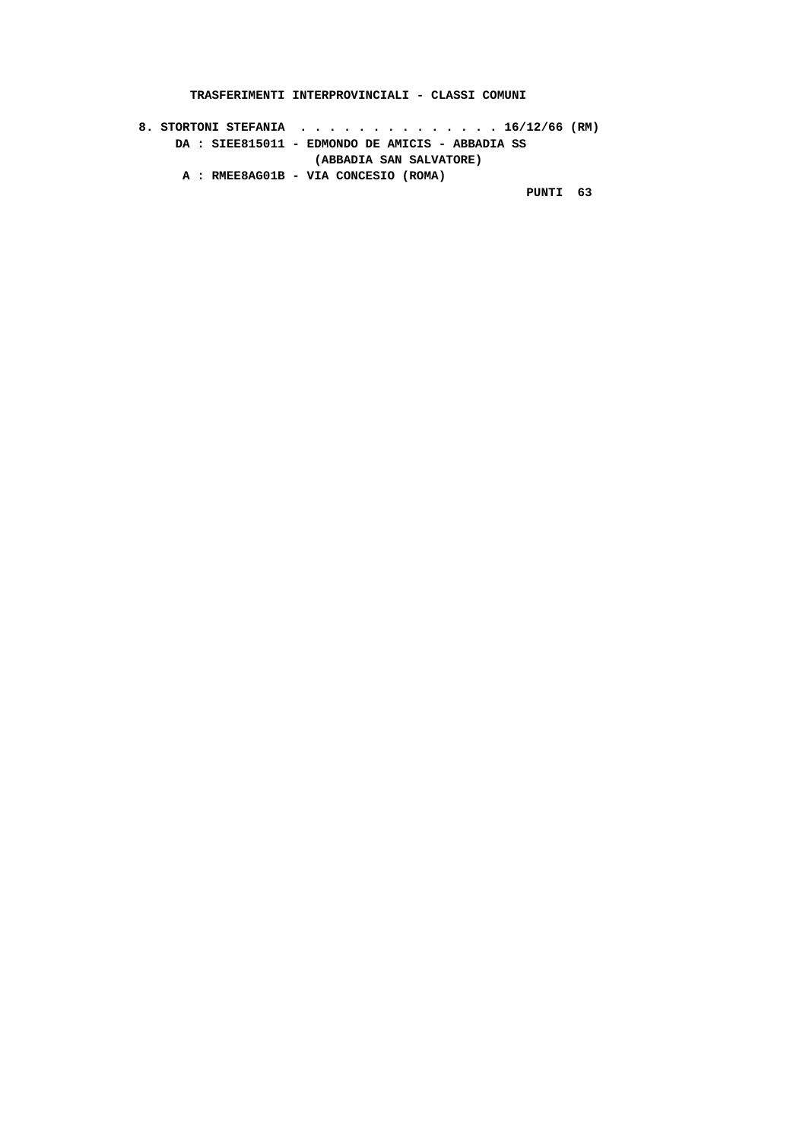**TRASFERIMENTI INTERPROVINCIALI - CLASSI COMUNI**

 **8. STORTONI STEFANIA . . . . . . . . . . . . . . 16/12/66 (RM) DA : SIEE815011 - EDMONDO DE AMICIS - ABBADIA SS (ABBADIA SAN SALVATORE) A : RMEE8AG01B - VIA CONCESIO (ROMA) PUNTI 63**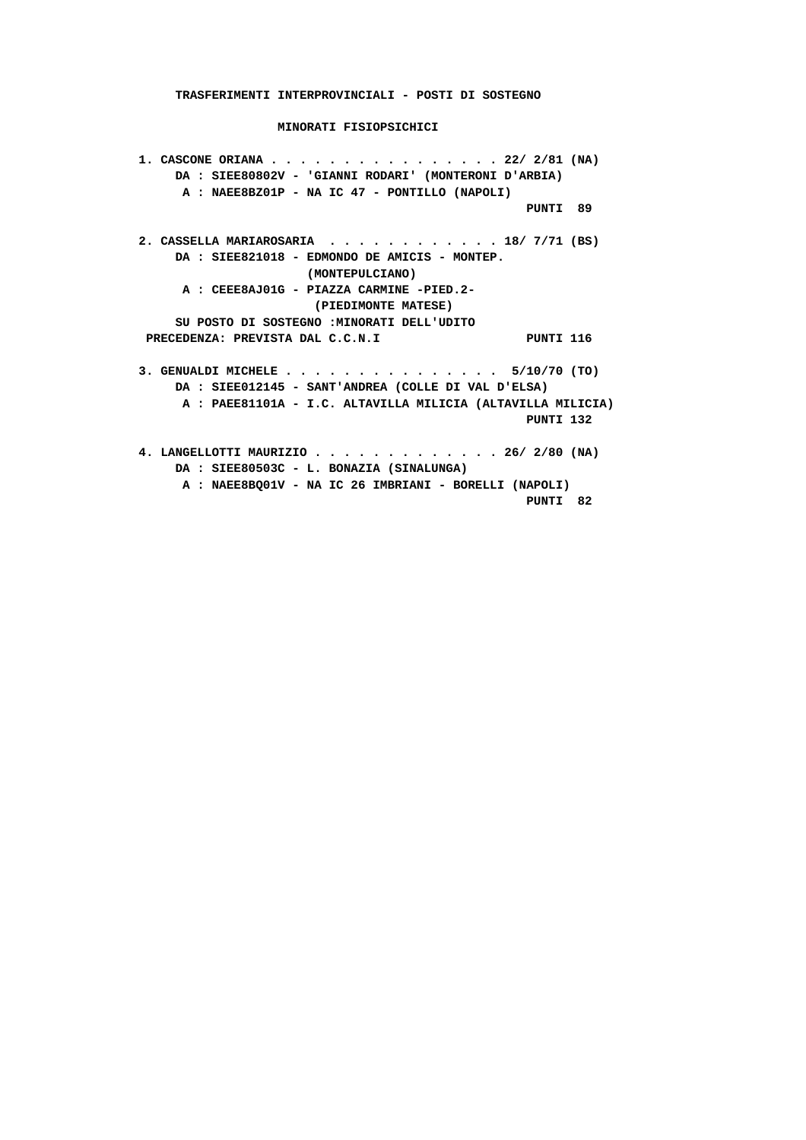**1. CASCONE ORIANA . . . . . . . . . . . . . . . . 22/ 2/81 (NA) DA : SIEE80802V - 'GIANNI RODARI' (MONTERONI D'ARBIA) A : NAEE8BZ01P - NA IC 47 - PONTILLO (NAPOLI) PUNTI 89 2. CASSELLA MARIAROSARIA . . . . . . . . . . . . 18/ 7/71 (BS) DA : SIEE821018 - EDMONDO DE AMICIS - MONTEP. (MONTEPULCIANO) A : CEEE8AJ01G - PIAZZA CARMINE -PIED.2- (PIEDIMONTE MATESE) SU POSTO DI SOSTEGNO :MINORATI DELL'UDITO** PRECEDENZA: PREVISTA DAL C.C.N.I PUNTI 116  **3. GENUALDI MICHELE . . . . . . . . . . . . . . . 5/10/70 (TO) DA : SIEE012145 - SANT'ANDREA (COLLE DI VAL D'ELSA) A : PAEE81101A - I.C. ALTAVILLA MILICIA (ALTAVILLA MILICIA) PUNTI 132 4. LANGELLOTTI MAURIZIO . . . . . . . . . . . . . 26/ 2/80 (NA) DA : SIEE80503C - L. BONAZIA (SINALUNGA) A : NAEE8BQ01V - NA IC 26 IMBRIANI - BORELLI (NAPOLI)**

 **PUNTI 82**

 **TRASFERIMENTI INTERPROVINCIALI - POSTI DI SOSTEGNO**

 **MINORATI FISIOPSICHICI**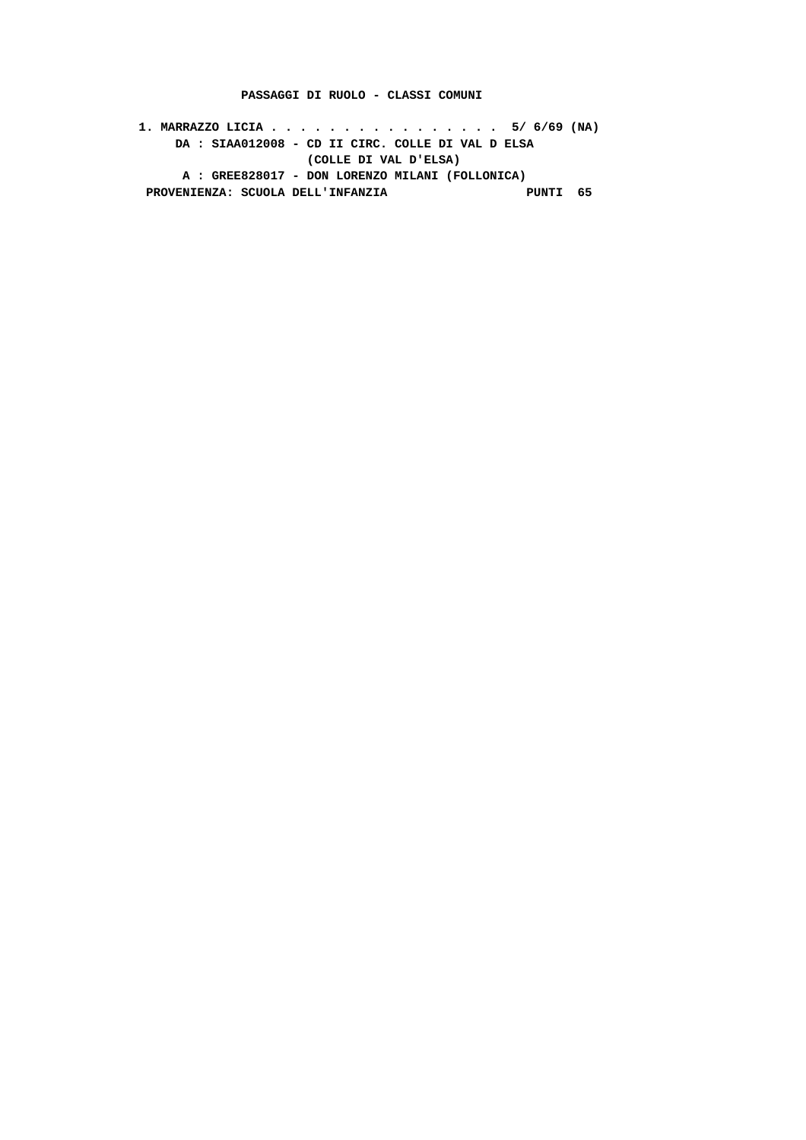### **PASSAGGI DI RUOLO - CLASSI COMUNI**

 **1. MARRAZZO LICIA . . . . . . . . . . . . . . . . 5/ 6/69 (NA) DA : SIAA012008 - CD II CIRC. COLLE DI VAL D ELSA (COLLE DI VAL D'ELSA) A : GREE828017 - DON LORENZO MILANI (FOLLONICA)** PROVENIENZA: SCUOLA DELL'INFANZIA **PUNTI 65**